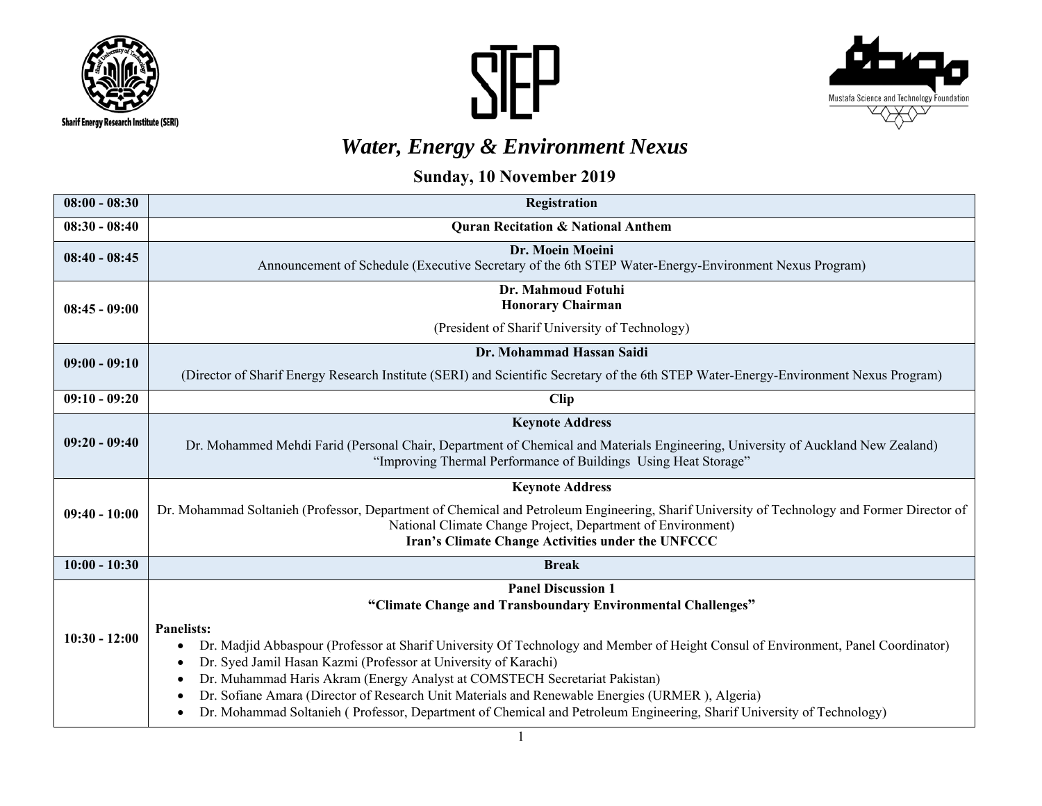





## *Water, Energy & Environment Nexus*

## **Sunday, 10 November 2019**

| $08:00 - 08:30$ | <b>Registration</b>                                                                                                                                                                                                                                                                                                                                                                                                                                                                                                                                                                                                            |  |  |  |
|-----------------|--------------------------------------------------------------------------------------------------------------------------------------------------------------------------------------------------------------------------------------------------------------------------------------------------------------------------------------------------------------------------------------------------------------------------------------------------------------------------------------------------------------------------------------------------------------------------------------------------------------------------------|--|--|--|
| $08:30 - 08:40$ | <b>Quran Recitation &amp; National Anthem</b>                                                                                                                                                                                                                                                                                                                                                                                                                                                                                                                                                                                  |  |  |  |
| $08:40 - 08:45$ | Dr. Moein Moeini<br>Announcement of Schedule (Executive Secretary of the 6th STEP Water-Energy-Environment Nexus Program)                                                                                                                                                                                                                                                                                                                                                                                                                                                                                                      |  |  |  |
| $08:45 - 09:00$ | Dr. Mahmoud Fotuhi<br><b>Honorary Chairman</b>                                                                                                                                                                                                                                                                                                                                                                                                                                                                                                                                                                                 |  |  |  |
|                 | (President of Sharif University of Technology)                                                                                                                                                                                                                                                                                                                                                                                                                                                                                                                                                                                 |  |  |  |
| $09:00 - 09:10$ | Dr. Mohammad Hassan Saidi                                                                                                                                                                                                                                                                                                                                                                                                                                                                                                                                                                                                      |  |  |  |
|                 | (Director of Sharif Energy Research Institute (SERI) and Scientific Secretary of the 6th STEP Water-Energy-Environment Nexus Program)                                                                                                                                                                                                                                                                                                                                                                                                                                                                                          |  |  |  |
| $09:10 - 09:20$ | <b>Clip</b>                                                                                                                                                                                                                                                                                                                                                                                                                                                                                                                                                                                                                    |  |  |  |
| $09:20 - 09:40$ | <b>Keynote Address</b>                                                                                                                                                                                                                                                                                                                                                                                                                                                                                                                                                                                                         |  |  |  |
|                 | Dr. Mohammed Mehdi Farid (Personal Chair, Department of Chemical and Materials Engineering, University of Auckland New Zealand)<br>"Improving Thermal Performance of Buildings Using Heat Storage"                                                                                                                                                                                                                                                                                                                                                                                                                             |  |  |  |
| $09:40 - 10:00$ | <b>Keynote Address</b>                                                                                                                                                                                                                                                                                                                                                                                                                                                                                                                                                                                                         |  |  |  |
|                 | Dr. Mohammad Soltanieh (Professor, Department of Chemical and Petroleum Engineering, Sharif University of Technology and Former Director of<br>National Climate Change Project, Department of Environment)<br>Iran's Climate Change Activities under the UNFCCC                                                                                                                                                                                                                                                                                                                                                                |  |  |  |
| $10:00 - 10:30$ | <b>Break</b>                                                                                                                                                                                                                                                                                                                                                                                                                                                                                                                                                                                                                   |  |  |  |
|                 | <b>Panel Discussion 1</b>                                                                                                                                                                                                                                                                                                                                                                                                                                                                                                                                                                                                      |  |  |  |
| $10:30 - 12:00$ | "Climate Change and Transboundary Environmental Challenges"<br><b>Panelists:</b><br>Dr. Madjid Abbaspour (Professor at Sharif University Of Technology and Member of Height Consul of Environment, Panel Coordinator)<br>$\bullet$<br>Dr. Syed Jamil Hasan Kazmi (Professor at University of Karachi)<br>٠<br>Dr. Muhammad Haris Akram (Energy Analyst at COMSTECH Secretariat Pakistan)<br>٠<br>Dr. Sofiane Amara (Director of Research Unit Materials and Renewable Energies (URMER), Algeria)<br>٠<br>Dr. Mohammad Soltanieh (Professor, Department of Chemical and Petroleum Engineering, Sharif University of Technology) |  |  |  |